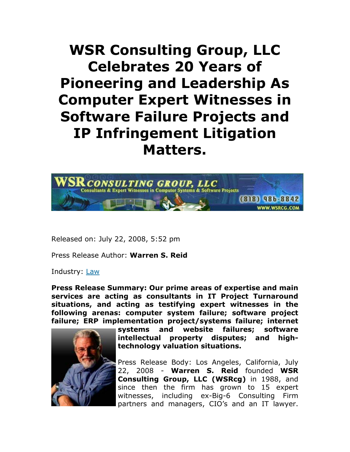## **WSR Consulting Group, LLC Celebrates 20 Years of Pioneering and Leadership As Computer Expert Witnesses in Software Failure Projects and IP Infringement Litigation Matters.**



Released on: July 22, 2008, 5:52 pm

Press Release Author: **Warren S. Reid**

Industry: Law

**Press Release Summary: Our prime areas of expertise and main services are acting as consultants in IT Project Turnaround situations, and acting as testifying expert witnesses in the following arenas: computer system failure; software project failure; ERP implementation project/systems failure; internet** 



**systems and website failures; software intellectual property disputes; and hightechnology valuation situations.** 

Press Release Body: Los Angeles, California, July 22, 2008 - **Warren S. Reid** founded **WSR Consulting Group, LLC (WSRcg)** in 1988, and since then the firm has grown to 15 expert witnesses, including ex-Big-6 Consulting Firm partners and managers, CIO's and an IT lawyer.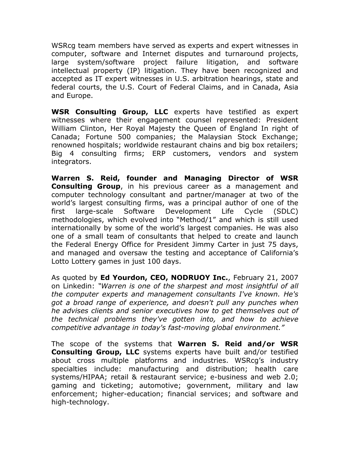WSRcg team members have served as experts and expert witnesses in computer, software and Internet disputes and turnaround projects, large system/software project failure litigation, and software intellectual property (IP) litigation. They have been recognized and accepted as IT expert witnesses in U.S. arbitration hearings, state and federal courts, the U.S. Court of Federal Claims, and in Canada, Asia and Europe.

**WSR Consulting Group, LLC** experts have testified as expert witnesses where their engagement counsel represented: President William Clinton, Her Royal Majesty the Queen of England In right of Canada; Fortune 500 companies; the Malaysian Stock Exchange; renowned hospitals; worldwide restaurant chains and big box retailers; Big 4 consulting firms; ERP customers, vendors and system integrators.

**Warren S. Reid, founder and Managing Director of WSR Consulting Group**, in his previous career as a management and computer technology consultant and partner/manager at two of the world's largest consulting firms, was a principal author of one of the first large-scale Software Development Life Cycle (SDLC) methodologies, which evolved into "Method/1" and which is still used internationally by some of the world's largest companies. He was also one of a small team of consultants that helped to create and launch the Federal Energy Office for President Jimmy Carter in just 75 days, and managed and oversaw the testing and acceptance of California's Lotto Lottery games in just 100 days.

As quoted by **Ed Yourdon, CEO, NODRUOY Inc.**, February 21, 2007 on Linkedin: *"Warren is one of the sharpest and most insightful of all the computer experts and management consultants I've known. He's got a broad range of experience, and doesn't pull any punches when he advises clients and senior executives how to get themselves out of the technical problems they've gotten into, and how to achieve competitive advantage in today's fast-moving global environment."* 

The scope of the systems that **Warren S. Reid and/or WSR Consulting Group, LLC** systems experts have built and/or testified about cross multiple platforms and industries. WSRcg's industry specialties include: manufacturing and distribution; health care systems/HIPAA; retail & restaurant service; e-business and web 2.0; gaming and ticketing; automotive; government, military and law enforcement; higher-education; financial services; and software and high-technology.